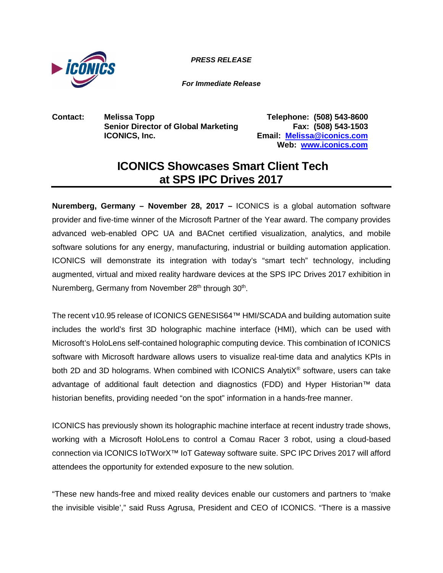

*PRESS RELEASE*

*For Immediate Release*

**Contact: Melissa Topp Telephone: (508) 543-8600 Senior Director of Global Marketing Fax: (508) 543-1503**

**ICONICS, Inc. Email: [Melissa@iconics.com](mailto:Melissa@iconics.com) Web: [www.iconics.com](http://www.iconics.com/)**

## **ICONICS Showcases Smart Client Tech at SPS IPC Drives 2017**

**Nuremberg, Germany – November 28, 2017 –** ICONICS is a global automation software provider and five-time winner of the Microsoft Partner of the Year award. The company provides advanced web-enabled OPC UA and BACnet certified visualization, analytics, and mobile software solutions for any energy, manufacturing, industrial or building automation application. ICONICS will demonstrate its integration with today's "smart tech" technology, including augmented, virtual and mixed reality hardware devices at the SPS IPC Drives 2017 exhibition in Nuremberg, Germany from November 28<sup>th</sup> through 30<sup>th</sup>.

The recent v10.95 release of ICONICS GENESIS64™ HMI/SCADA and building automation suite includes the world's first 3D holographic machine interface (HMI), which can be used with Microsoft's HoloLens self-contained holographic computing device. This combination of ICONICS software with Microsoft hardware allows users to visualize real-time data and analytics KPIs in both 2D and 3D holograms. When combined with ICONICS AnalytiX<sup>®</sup> software, users can take advantage of additional fault detection and diagnostics (FDD) and Hyper Historian™ data historian benefits, providing needed "on the spot" information in a hands-free manner.

ICONICS has previously shown its holographic machine interface at recent industry trade shows, working with a Microsoft HoloLens to control a Comau Racer 3 robot, using a cloud-based connection via ICONICS IoTWorX™ IoT Gateway software suite. SPC IPC Drives 2017 will afford attendees the opportunity for extended exposure to the new solution.

"These new hands-free and mixed reality devices enable our customers and partners to 'make the invisible visible'," said Russ Agrusa, President and CEO of ICONICS. "There is a massive